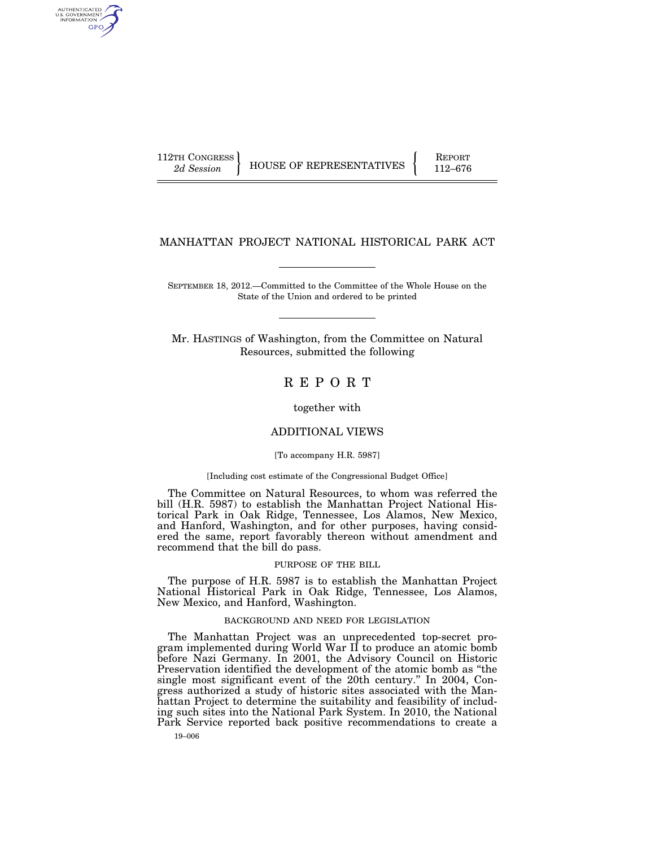AUTHENTICATED<br>U.S. GOVERNMENT<br>INFORMATION GPO

112TH CONGRESS HOUSE OF REPRESENTATIVES FEPORT 112–676

# MANHATTAN PROJECT NATIONAL HISTORICAL PARK ACT

SEPTEMBER 18, 2012.—Committed to the Committee of the Whole House on the State of the Union and ordered to be printed

Mr. HASTINGS of Washington, from the Committee on Natural Resources, submitted the following

R E P O R T

together with

# ADDITIONAL VIEWS

#### [To accompany H.R. 5987]

#### [Including cost estimate of the Congressional Budget Office]

The Committee on Natural Resources, to whom was referred the bill (H.R. 5987) to establish the Manhattan Project National Historical Park in Oak Ridge, Tennessee, Los Alamos, New Mexico, and Hanford, Washington, and for other purposes, having considered the same, report favorably thereon without amendment and recommend that the bill do pass.

### PURPOSE OF THE BILL

The purpose of H.R. 5987 is to establish the Manhattan Project National Historical Park in Oak Ridge, Tennessee, Los Alamos, New Mexico, and Hanford, Washington.

#### BACKGROUND AND NEED FOR LEGISLATION

The Manhattan Project was an unprecedented top-secret program implemented during World War II to produce an atomic bomb before Nazi Germany. In 2001, the Advisory Council on Historic Preservation identified the development of the atomic bomb as ''the single most significant event of the 20th century.'' In 2004, Congress authorized a study of historic sites associated with the Manhattan Project to determine the suitability and feasibility of including such sites into the National Park System. In 2010, the National Park Service reported back positive recommendations to create a

19–006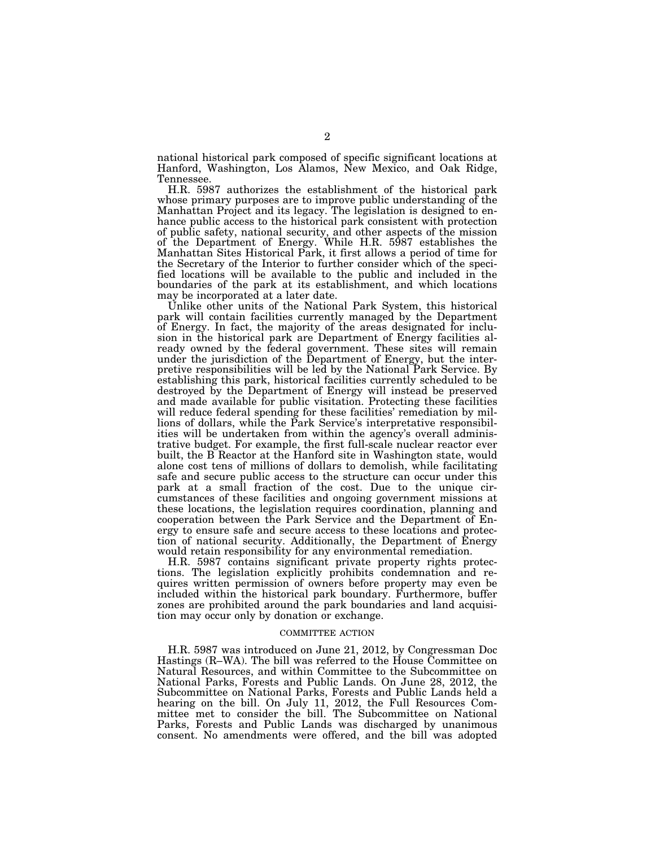national historical park composed of specific significant locations at Hanford, Washington, Los Alamos, New Mexico, and Oak Ridge, Tennessee.

H.R. 5987 authorizes the establishment of the historical park whose primary purposes are to improve public understanding of the Manhattan Project and its legacy. The legislation is designed to enhance public access to the historical park consistent with protection of public safety, national security, and other aspects of the mission of the Department of Energy. While H.R. 5987 establishes the Manhattan Sites Historical Park, it first allows a period of time for the Secretary of the Interior to further consider which of the specified locations will be available to the public and included in the boundaries of the park at its establishment, and which locations may be incorporated at a later date.

Unlike other units of the National Park System, this historical park will contain facilities currently managed by the Department of Energy. In fact, the majority of the areas designated for inclusion in the historical park are Department of Energy facilities already owned by the federal government. These sites will remain under the jurisdiction of the Department of Energy, but the interpretive responsibilities will be led by the National Park Service. By establishing this park, historical facilities currently scheduled to be destroyed by the Department of Energy will instead be preserved and made available for public visitation. Protecting these facilities will reduce federal spending for these facilities' remediation by millions of dollars, while the Park Service's interpretative responsibilities will be undertaken from within the agency's overall administrative budget. For example, the first full-scale nuclear reactor ever built, the B Reactor at the Hanford site in Washington state, would alone cost tens of millions of dollars to demolish, while facilitating safe and secure public access to the structure can occur under this park at a small fraction of the cost. Due to the unique circumstances of these facilities and ongoing government missions at these locations, the legislation requires coordination, planning and cooperation between the Park Service and the Department of Energy to ensure safe and secure access to these locations and protection of national security. Additionally, the Department of Energy would retain responsibility for any environmental remediation.

H.R. 5987 contains significant private property rights protections. The legislation explicitly prohibits condemnation and requires written permission of owners before property may even be included within the historical park boundary. Furthermore, buffer zones are prohibited around the park boundaries and land acquisition may occur only by donation or exchange.

#### COMMITTEE ACTION

H.R. 5987 was introduced on June 21, 2012, by Congressman Doc Hastings (R–WA). The bill was referred to the House Committee on Natural Resources, and within Committee to the Subcommittee on National Parks, Forests and Public Lands. On June 28, 2012, the Subcommittee on National Parks, Forests and Public Lands held a hearing on the bill. On July 11, 2012, the Full Resources Committee met to consider the bill. The Subcommittee on National Parks, Forests and Public Lands was discharged by unanimous consent. No amendments were offered, and the bill was adopted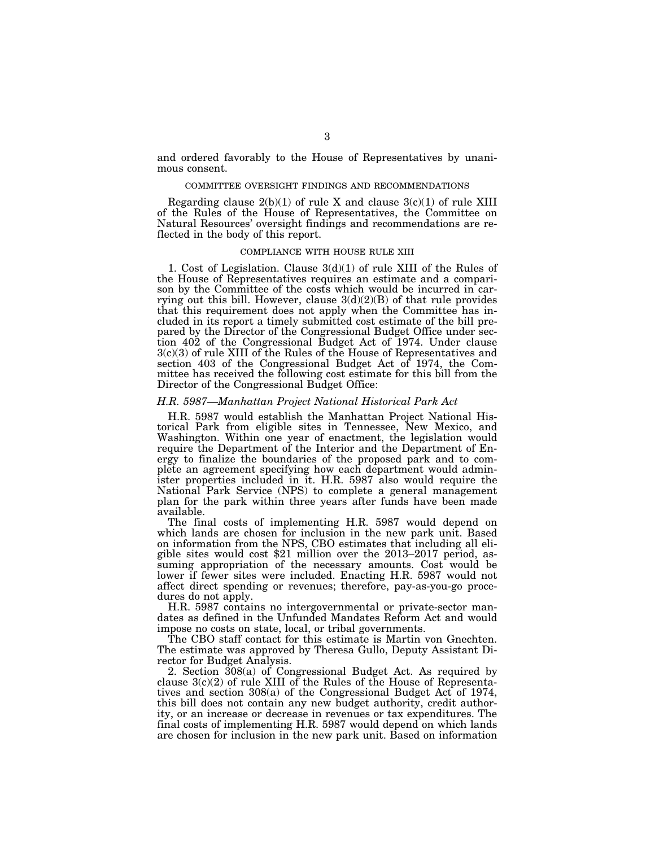and ordered favorably to the House of Representatives by unanimous consent.

#### COMMITTEE OVERSIGHT FINDINGS AND RECOMMENDATIONS

Regarding clause  $2(b)(1)$  of rule X and clause  $3(c)(1)$  of rule XIII of the Rules of the House of Representatives, the Committee on Natural Resources' oversight findings and recommendations are reflected in the body of this report.

### COMPLIANCE WITH HOUSE RULE XIII

1. Cost of Legislation. Clause 3(d)(1) of rule XIII of the Rules of the House of Representatives requires an estimate and a comparison by the Committee of the costs which would be incurred in carrying out this bill. However, clause  $3(d)(2)(B)$  of that rule provides that this requirement does not apply when the Committee has included in its report a timely submitted cost estimate of the bill prepared by the Director of the Congressional Budget Office under section 402 of the Congressional Budget Act of 1974. Under clause 3(c)(3) of rule XIII of the Rules of the House of Representatives and section 403 of the Congressional Budget Act of 1974, the Committee has received the following cost estimate for this bill from the Director of the Congressional Budget Office:

## *H.R. 5987—Manhattan Project National Historical Park Act*

H.R. 5987 would establish the Manhattan Project National Historical Park from eligible sites in Tennessee, New Mexico, and Washington. Within one year of enactment, the legislation would require the Department of the Interior and the Department of Energy to finalize the boundaries of the proposed park and to complete an agreement specifying how each department would administer properties included in it. H.R. 5987 also would require the National Park Service (NPS) to complete a general management plan for the park within three years after funds have been made available.

The final costs of implementing H.R. 5987 would depend on which lands are chosen for inclusion in the new park unit. Based on information from the NPS, CBO estimates that including all eligible sites would cost \$21 million over the 2013–2017 period, assuming appropriation of the necessary amounts. Cost would be lower if fewer sites were included. Enacting H.R. 5987 would not affect direct spending or revenues; therefore, pay-as-you-go procedures do not apply.

H.R. 5987 contains no intergovernmental or private-sector mandates as defined in the Unfunded Mandates Reform Act and would impose no costs on state, local, or tribal governments.

The CBO staff contact for this estimate is Martin von Gnechten. The estimate was approved by Theresa Gullo, Deputy Assistant Director for Budget Analysis.

2. Section 308(a) of Congressional Budget Act. As required by clause 3(c)(2) of rule XIII of the Rules of the House of Representatives and section 308(a) of the Congressional Budget Act of 1974, this bill does not contain any new budget authority, credit authority, or an increase or decrease in revenues or tax expenditures. The final costs of implementing H.R. 5987 would depend on which lands are chosen for inclusion in the new park unit. Based on information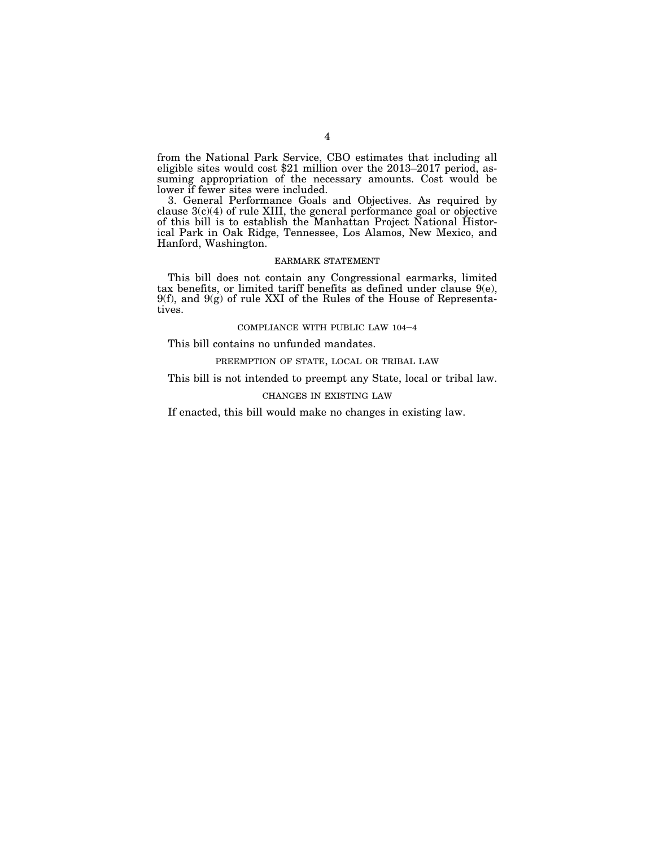from the National Park Service, CBO estimates that including all eligible sites would cost \$21 million over the 2013–2017 period, assuming appropriation of the necessary amounts. Cost would be lower if fewer sites were included.

3. General Performance Goals and Objectives. As required by clause  $3(c)(4)$  of rule XIII, the general performance goal or objective of this bill is to establish the Manhattan Project National Historical Park in Oak Ridge, Tennessee, Los Alamos, New Mexico, and Hanford, Washington.

### EARMARK STATEMENT

This bill does not contain any Congressional earmarks, limited tax benefits, or limited tariff benefits as defined under clause 9(e),  $9(f)$ , and  $9(g)$  of rule XXI of the Rules of the House of Representatives.

### COMPLIANCE WITH PUBLIC LAW 104–4

This bill contains no unfunded mandates.

# PREEMPTION OF STATE, LOCAL OR TRIBAL LAW

This bill is not intended to preempt any State, local or tribal law.

# CHANGES IN EXISTING LAW

If enacted, this bill would make no changes in existing law.